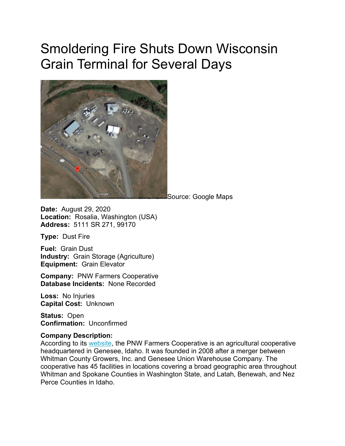## Smoldering Fire Shuts Down Wisconsin Grain Terminal for Several Days



Source: Google Maps

**Date:** August 29, 2020 **Location:** Rosalia, Washington (USA) **Address:** 5111 SR 271, 99170

**Type:** Dust Fire

**Fuel:** Grain Dust **Industry:** Grain Storage (Agriculture) **Equipment:** Grain Elevator

**Company:** PNW Farmers Cooperative **Database Incidents:** None Recorded

**Loss:** No Injuries **Capital Cost:** Unknown

**Status:** Open **Confirmation:** Unconfirmed

## **Company Description:**

According to its [website,](https://www.pnw.coop/) the PNW Farmers Cooperative is an agricultural cooperative headquartered in Genesee, Idaho. It was founded in 2008 after a merger between Whitman County Growers, Inc. and Genesee Union Warehouse Company. The cooperative has 45 facilities in locations covering a broad geographic area throughout Whitman and Spokane Counties in Washington State, and Latah, Benewah, and Nez Perce Counties in Idaho.